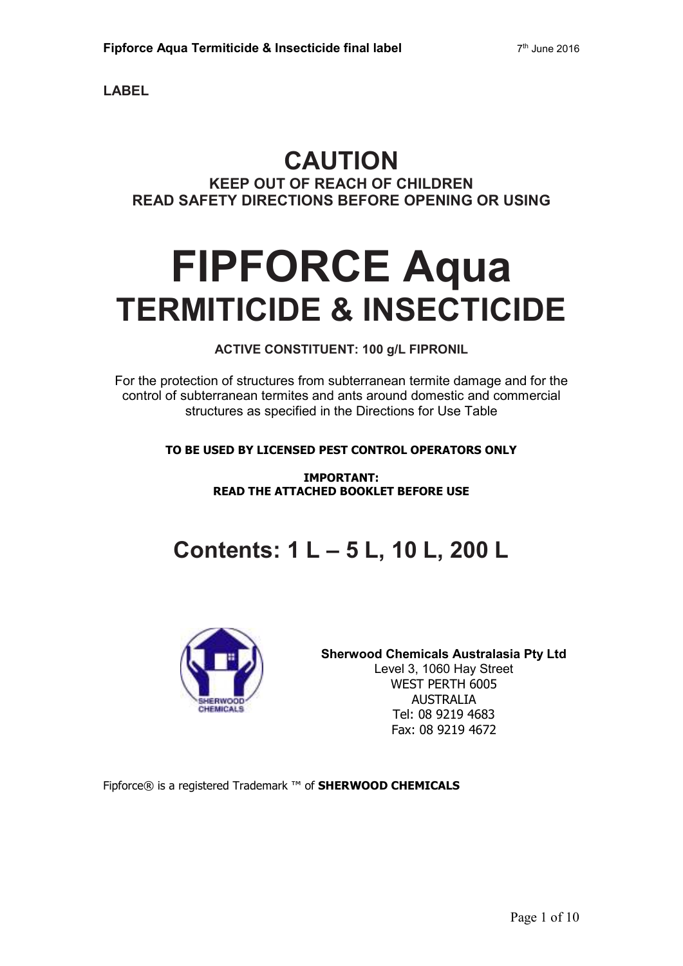**LABEL** 

# **CAUTION KEEP OUT OF REACH OF CHILDREN READ SAFETY DIRECTIONS BEFORE OPENING OR USING**

# **FIPFORCE Aqua TERMITICIDE & INSECTICIDE**

### **ACTIVE CONSTITUENT: 100 g/L FIPRONIL**

For the protection of structures from subterranean termite damage and for the control of subterranean termites and ants around domestic and commercial structures as specified in the Directions for Use Table

**TO BE USED BY LICENSED PEST CONTROL OPERATORS ONLY** 

**IMPORTANT: READ THE ATTACHED BOOKLET BEFORE USE** 

# **Contents: 1 L – 5 L, 10 L, 200 L**



**Sherwood Chemicals Australasia Pty Ltd**  Level 3, 1060 Hay Street WEST PERTH 6005 AUSTRALIA Tel: 08 9219 4683 Fax: 08 9219 4672

Fipforce® is a registered Trademark ™ of **SHERWOOD CHEMICALS**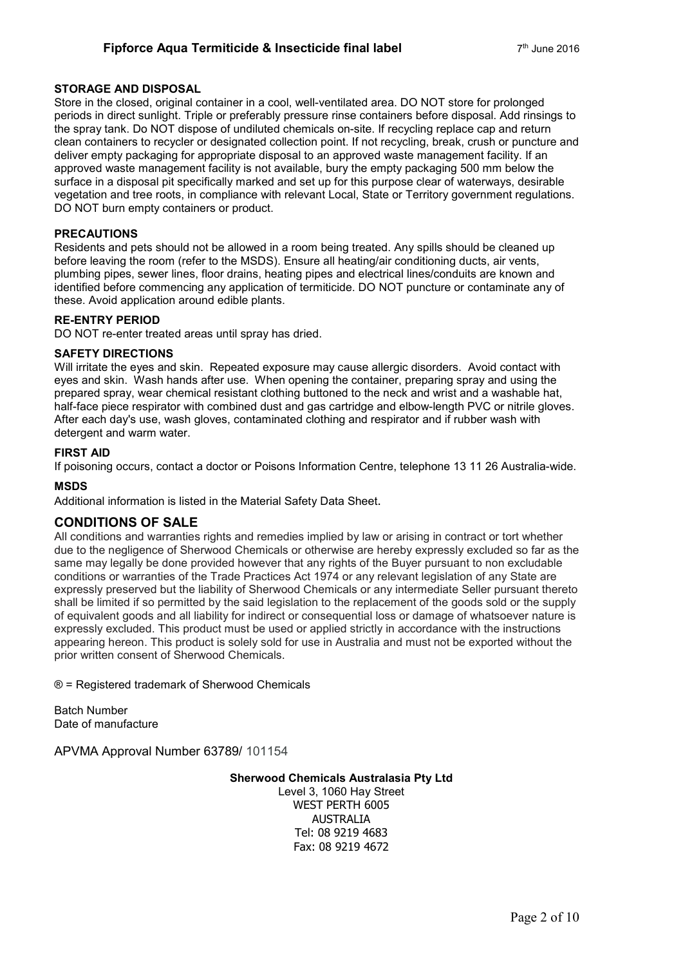#### **STORAGE AND DISPOSAL**

Store in the closed, original container in a cool, well-ventilated area. DO NOT store for prolonged periods in direct sunlight. Triple or preferably pressure rinse containers before disposal. Add rinsings to the spray tank. Do NOT dispose of undiluted chemicals on-site. If recycling replace cap and return clean containers to recycler or designated collection point. If not recycling, break, crush or puncture and deliver empty packaging for appropriate disposal to an approved waste management facility. If an approved waste management facility is not available, bury the empty packaging 500 mm below the surface in a disposal pit specifically marked and set up for this purpose clear of waterways, desirable vegetation and tree roots, in compliance with relevant Local, State or Territory government regulations. DO NOT burn empty containers or product.

#### **PRECAUTIONS**

Residents and pets should not be allowed in a room being treated. Any spills should be cleaned up before leaving the room (refer to the MSDS). Ensure all heating/air conditioning ducts, air vents, plumbing pipes, sewer lines, floor drains, heating pipes and electrical lines/conduits are known and identified before commencing any application of termiticide. DO NOT puncture or contaminate any of these. Avoid application around edible plants.

#### **RE-ENTRY PERIOD**

DO NOT re-enter treated areas until spray has dried.

#### **SAFETY DIRECTIONS**

Will irritate the eyes and skin. Repeated exposure may cause allergic disorders. Avoid contact with eyes and skin. Wash hands after use. When opening the container, preparing spray and using the prepared spray, wear chemical resistant clothing buttoned to the neck and wrist and a washable hat, half-face piece respirator with combined dust and gas cartridge and elbow-length PVC or nitrile gloves. After each day's use, wash gloves, contaminated clothing and respirator and if rubber wash with detergent and warm water.

#### **FIRST AID**

If poisoning occurs, contact a doctor or Poisons Information Centre, telephone 13 11 26 Australia-wide.

#### **MSDS**

Additional information is listed in the Material Safety Data Sheet.

#### **CONDITIONS OF SALE**

All conditions and warranties rights and remedies implied by law or arising in contract or tort whether due to the negligence of Sherwood Chemicals or otherwise are hereby expressly excluded so far as the same may legally be done provided however that any rights of the Buyer pursuant to non excludable conditions or warranties of the Trade Practices Act 1974 or any relevant legislation of any State are expressly preserved but the liability of Sherwood Chemicals or any intermediate Seller pursuant thereto shall be limited if so permitted by the said legislation to the replacement of the goods sold or the supply of equivalent goods and all liability for indirect or consequential loss or damage of whatsoever nature is expressly excluded. This product must be used or applied strictly in accordance with the instructions appearing hereon. This product is solely sold for use in Australia and must not be exported without the prior written consent of Sherwood Chemicals.

® = Registered trademark of Sherwood Chemicals

Batch Number Date of manufacture

APVMA Approval Number 63789/ 101154

#### **Sherwood Chemicals Australasia Pty Ltd**

Level 3, 1060 Hay Street WEST PERTH 6005 AUSTRALIA Tel: 08 9219 4683 Fax: 08 9219 4672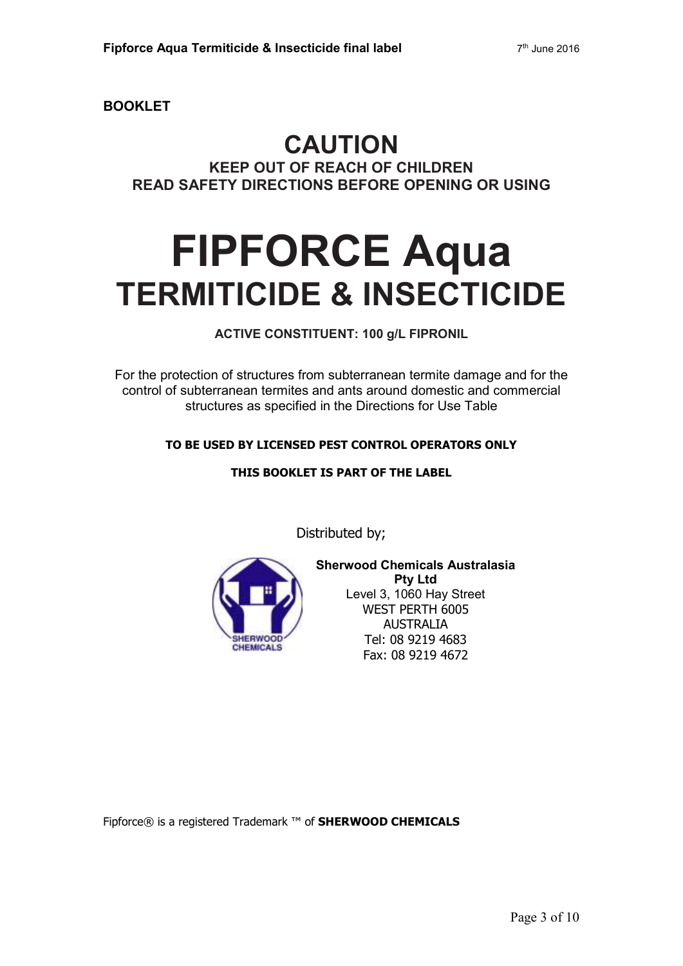**BOOKLET** 

## **CAUTION KEEP OUT OF REACH OF CHILDREN READ SAFETY DIRECTIONS BEFORE OPENING OR USING**

# **FIPFORCE Aqua TERMITICIDE & INSECTICIDE**

**ACTIVE CONSTITUENT: 100 g/L FIPRONIL** 

For the protection of structures from subterranean termite damage and for the control of subterranean termites and ants around domestic and commercial structures as specified in the Directions for Use Table

#### **TO BE USED BY LICENSED PEST CONTROL OPERATORS ONLY**

#### **THIS BOOKLET IS PART OF THE LABEL**

Distributed by;



**Sherwood Chemicals Australasia Pty Ltd**  Level 3, 1060 Hay Street WEST PERTH 6005 AUSTRALIA Tel: 08 9219 4683 Fax: 08 9219 4672

Fipforce® is a registered Trademark ™ of **SHERWOOD CHEMICALS**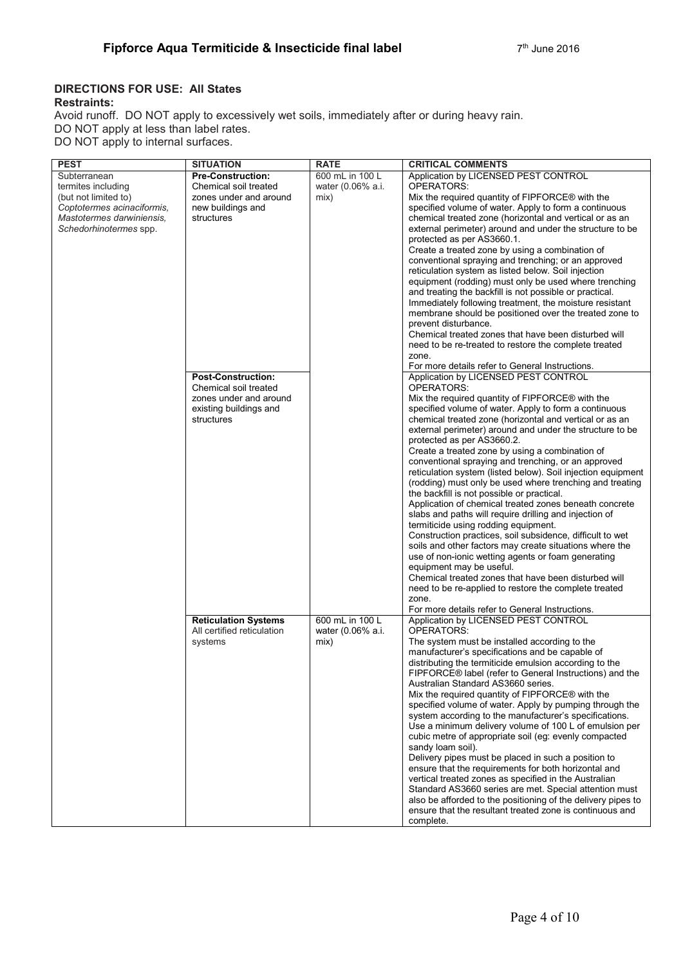#### **DIRECTIONS FOR USE: All States Restraints:**

Avoid runoff. DO NOT apply to excessively wet soils, immediately after or during heavy rain. DO NOT apply at less than label rates.

DO NOT apply to internal surfaces.

| <b>PEST</b>                | <b>SITUATION</b>                                          | <b>RATE</b>       | <b>CRITICAL COMMENTS</b>                                                                                  |
|----------------------------|-----------------------------------------------------------|-------------------|-----------------------------------------------------------------------------------------------------------|
| Subterranean               | <b>Pre-Construction:</b>                                  | 600 mL in 100 L   | Application by LICENSED PEST CONTROL                                                                      |
| termites including         | Chemical soil treated                                     | water (0.06% a.i. | <b>OPERATORS:</b>                                                                                         |
| (but not limited to)       | zones under and around                                    | mix)              | Mix the required quantity of FIPFORCE® with the                                                           |
| Coptotermes acinaciformis, | new buildings and                                         |                   | specified volume of water. Apply to form a continuous                                                     |
| Mastotermes darwiniensis,  | structures                                                |                   | chemical treated zone (horizontal and vertical or as an                                                   |
| Schedorhinotermes spp.     |                                                           |                   | external perimeter) around and under the structure to be                                                  |
|                            |                                                           |                   | protected as per AS3660.1.                                                                                |
|                            |                                                           |                   | Create a treated zone by using a combination of                                                           |
|                            |                                                           |                   | conventional spraying and trenching; or an approved                                                       |
|                            |                                                           |                   | reticulation system as listed below. Soil injection                                                       |
|                            |                                                           |                   | equipment (rodding) must only be used where trenching                                                     |
|                            |                                                           |                   | and treating the backfill is not possible or practical.                                                   |
|                            |                                                           |                   | Immediately following treatment, the moisture resistant                                                   |
|                            |                                                           |                   | membrane should be positioned over the treated zone to<br>prevent disturbance.                            |
|                            |                                                           |                   | Chemical treated zones that have been disturbed will                                                      |
|                            |                                                           |                   | need to be re-treated to restore the complete treated                                                     |
|                            |                                                           |                   | zone.                                                                                                     |
|                            |                                                           |                   | For more details refer to General Instructions.                                                           |
|                            | <b>Post-Construction:</b>                                 |                   | Application by LICENSED PEST CONTROL                                                                      |
|                            | Chemical soil treated                                     |                   | OPERATORS:                                                                                                |
|                            | zones under and around                                    |                   | Mix the required quantity of FIPFORCE® with the                                                           |
|                            | existing buildings and                                    |                   | specified volume of water. Apply to form a continuous                                                     |
|                            | structures                                                |                   | chemical treated zone (horizontal and vertical or as an                                                   |
|                            |                                                           |                   | external perimeter) around and under the structure to be                                                  |
|                            |                                                           |                   | protected as per AS3660.2.                                                                                |
|                            |                                                           |                   | Create a treated zone by using a combination of                                                           |
|                            |                                                           |                   | conventional spraying and trenching, or an approved                                                       |
|                            |                                                           |                   | reticulation system (listed below). Soil injection equipment                                              |
|                            |                                                           |                   | (rodding) must only be used where trenching and treating                                                  |
|                            |                                                           |                   | the backfill is not possible or practical.                                                                |
|                            |                                                           |                   | Application of chemical treated zones beneath concrete                                                    |
|                            |                                                           |                   | slabs and paths will require drilling and injection of                                                    |
|                            |                                                           |                   | termiticide using rodding equipment.                                                                      |
|                            |                                                           |                   | Construction practices, soil subsidence, difficult to wet                                                 |
|                            |                                                           |                   | soils and other factors may create situations where the                                                   |
|                            |                                                           |                   | use of non-ionic wetting agents or foam generating                                                        |
|                            |                                                           |                   | equipment may be useful.                                                                                  |
|                            |                                                           |                   | Chemical treated zones that have been disturbed will                                                      |
|                            |                                                           |                   | need to be re-applied to restore the complete treated                                                     |
|                            |                                                           |                   | zone.                                                                                                     |
|                            |                                                           |                   | For more details refer to General Instructions.                                                           |
|                            | <b>Reticulation Systems</b><br>All certified reticulation | 600 mL in 100 L   | Application by LICENSED PEST CONTROL<br><b>OPERATORS:</b>                                                 |
|                            |                                                           | water (0.06% a.i. |                                                                                                           |
|                            | systems                                                   | mix)              | The system must be installed according to the                                                             |
|                            |                                                           |                   | manufacturer's specifications and be capable of<br>distributing the termiticide emulsion according to the |
|                            |                                                           |                   | FIPFORCE® label (refer to General Instructions) and the                                                   |
|                            |                                                           |                   | Australian Standard AS3660 series.                                                                        |
|                            |                                                           |                   | Mix the required quantity of FIPFORCE® with the                                                           |
|                            |                                                           |                   | specified volume of water. Apply by pumping through the                                                   |
|                            |                                                           |                   | system according to the manufacturer's specifications.                                                    |
|                            |                                                           |                   | Use a minimum delivery volume of 100 L of emulsion per                                                    |
|                            |                                                           |                   | cubic metre of appropriate soil (eg: evenly compacted                                                     |
|                            |                                                           |                   | sandy loam soil).                                                                                         |
|                            |                                                           |                   | Delivery pipes must be placed in such a position to                                                       |
|                            |                                                           |                   | ensure that the requirements for both horizontal and                                                      |
|                            |                                                           |                   | vertical treated zones as specified in the Australian                                                     |
|                            |                                                           |                   | Standard AS3660 series are met. Special attention must                                                    |
|                            |                                                           |                   | also be afforded to the positioning of the delivery pipes to                                              |
|                            |                                                           |                   | ensure that the resultant treated zone is continuous and                                                  |
|                            |                                                           |                   | complete.                                                                                                 |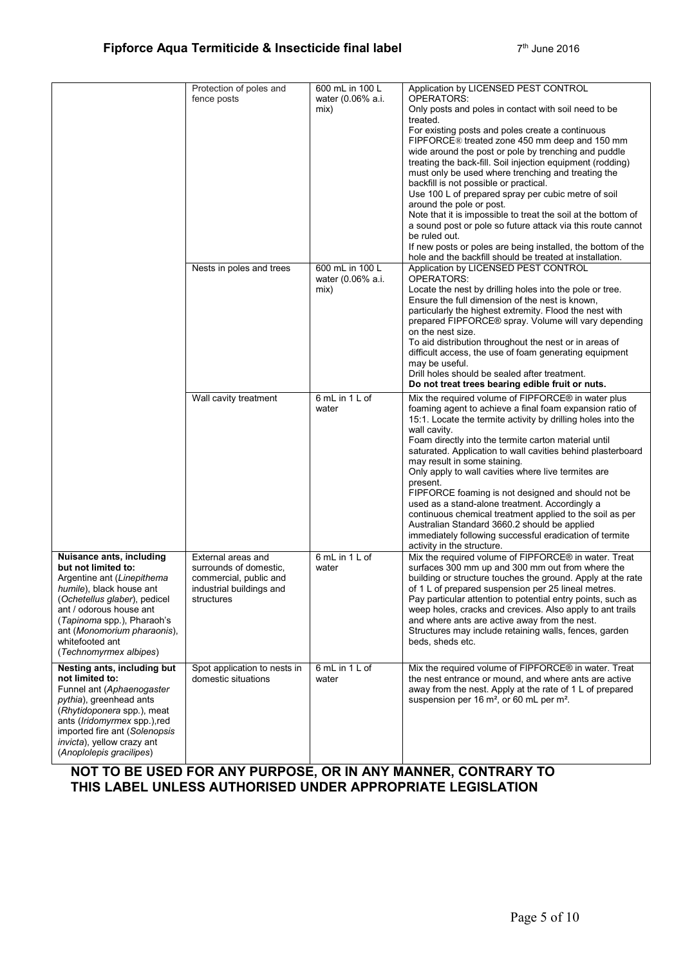|                                                                                                                                                                                                                                                                                        | Protection of poles and<br>fence posts                                                                           | 600 mL in 100 L<br>water (0.06% a.i.<br>mix) | Application by LICENSED PEST CONTROL<br>OPERATORS:<br>Only posts and poles in contact with soil need to be<br>treated.<br>For existing posts and poles create a continuous<br>FIPFORCE® treated zone 450 mm deep and 150 mm<br>wide around the post or pole by trenching and puddle<br>treating the back-fill. Soil injection equipment (rodding)<br>must only be used where trenching and treating the<br>backfill is not possible or practical.<br>Use 100 L of prepared spray per cubic metre of soil<br>around the pole or post.<br>Note that it is impossible to treat the soil at the bottom of<br>a sound post or pole so future attack via this route cannot<br>be ruled out.<br>If new posts or poles are being installed, the bottom of the<br>hole and the backfill should be treated at installation. |
|----------------------------------------------------------------------------------------------------------------------------------------------------------------------------------------------------------------------------------------------------------------------------------------|------------------------------------------------------------------------------------------------------------------|----------------------------------------------|-------------------------------------------------------------------------------------------------------------------------------------------------------------------------------------------------------------------------------------------------------------------------------------------------------------------------------------------------------------------------------------------------------------------------------------------------------------------------------------------------------------------------------------------------------------------------------------------------------------------------------------------------------------------------------------------------------------------------------------------------------------------------------------------------------------------|
|                                                                                                                                                                                                                                                                                        | Nests in poles and trees                                                                                         | 600 mL in 100 L<br>water (0.06% a.i.<br>mix) | Application by LICENSED PEST CONTROL<br>OPERATORS:<br>Locate the nest by drilling holes into the pole or tree.<br>Ensure the full dimension of the nest is known,<br>particularly the highest extremity. Flood the nest with<br>prepared FIPFORCE® spray. Volume will vary depending<br>on the nest size.<br>To aid distribution throughout the nest or in areas of<br>difficult access, the use of foam generating equipment<br>may be useful.<br>Drill holes should be sealed after treatment.<br>Do not treat trees bearing edible fruit or nuts.                                                                                                                                                                                                                                                              |
|                                                                                                                                                                                                                                                                                        | Wall cavity treatment                                                                                            | 6 mL in 1 L of<br>water                      | Mix the required volume of FIPFORCE® in water plus<br>foaming agent to achieve a final foam expansion ratio of<br>15:1. Locate the termite activity by drilling holes into the<br>wall cavity.<br>Foam directly into the termite carton material until<br>saturated. Application to wall cavities behind plasterboard<br>may result in some staining.<br>Only apply to wall cavities where live termites are<br>present.<br>FIPFORCE foaming is not designed and should not be<br>used as a stand-alone treatment. Accordingly a<br>continuous chemical treatment applied to the soil as per<br>Australian Standard 3660.2 should be applied<br>immediately following successful eradication of termite<br>activity in the structure.                                                                             |
| Nuisance ants, including<br>but not limited to:<br>Argentine ant (Linepithema<br><i>humile</i> ), black house ant<br>(Ochetellus glaber), pedicel<br>ant / odorous house ant<br>(Tapinoma spp.), Pharaoh's<br>ant (Monomorium pharaonis),<br>whitefooted ant<br>(Technomyrmex albipes) | External areas and<br>surrounds of domestic,<br>commercial, public and<br>industrial buildings and<br>structures | 6 mL in 1 L of<br>water                      | Mix the required volume of FIPFORCE® in water. Treat<br>surfaces 300 mm up and 300 mm out from where the<br>building or structure touches the ground. Apply at the rate<br>of 1 L of prepared suspension per 25 lineal metres.<br>Pay particular attention to potential entry points, such as<br>weep holes, cracks and crevices. Also apply to ant trails<br>and where ants are active away from the nest.<br>Structures may include retaining walls, fences, garden<br>beds, sheds etc.                                                                                                                                                                                                                                                                                                                         |
| Nesting ants, including but<br>not limited to:<br>Funnel ant (Aphaenogaster<br>pythia), greenhead ants<br>(Rhytidoponera spp.), meat<br>ants ( <i>Iridomyrmex</i> spp.), red<br>imported fire ant (Solenopsis<br>invicta), yellow crazy ant<br>(Anoplolepis gracilipes)                | Spot application to nests in<br>domestic situations                                                              | 6 mL in 1 L of<br>water                      | Mix the required volume of FIPFORCE® in water. Treat<br>the nest entrance or mound, and where ants are active<br>away from the nest. Apply at the rate of 1 L of prepared<br>suspension per 16 m <sup>2</sup> , or 60 mL per m <sup>2</sup> .                                                                                                                                                                                                                                                                                                                                                                                                                                                                                                                                                                     |

### **NOT TO BE USED FOR ANY PURPOSE, OR IN ANY MANNER, CONTRARY TO THIS LABEL UNLESS AUTHORISED UNDER APPROPRIATE LEGISLATION**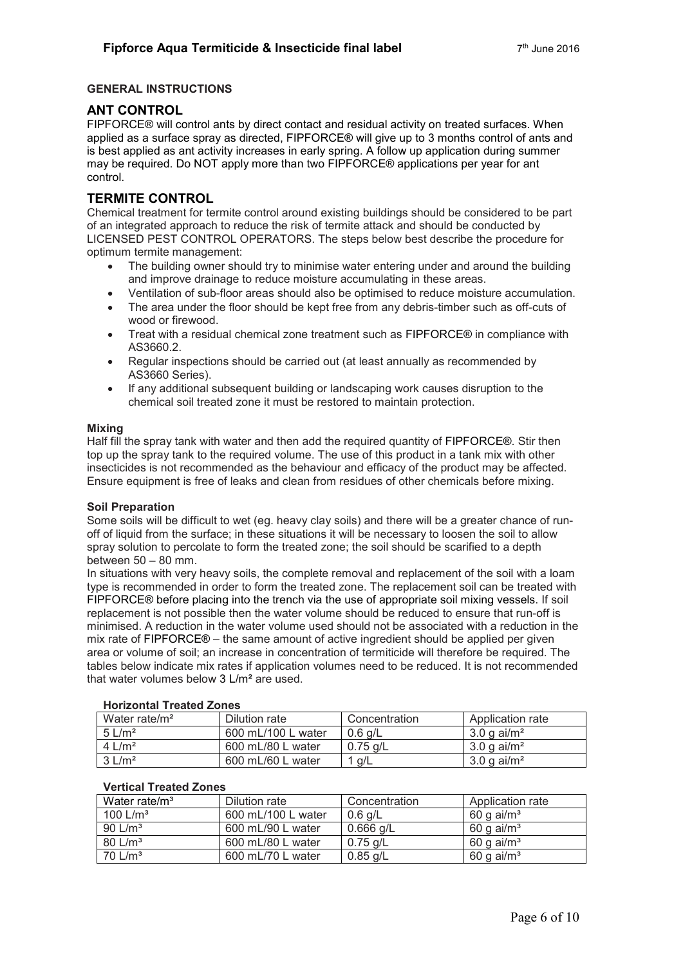#### **GENERAL INSTRUCTIONS**

#### **ANT CONTROL**

FIPFORCE® will control ants by direct contact and residual activity on treated surfaces. When applied as a surface spray as directed, FIPFORCE® will give up to 3 months control of ants and is best applied as ant activity increases in early spring. A follow up application during summer may be required. Do NOT apply more than two FIPFORCE® applications per year for ant control.

#### **TERMITE CONTROL**

Chemical treatment for termite control around existing buildings should be considered to be part of an integrated approach to reduce the risk of termite attack and should be conducted by LICENSED PEST CONTROL OPERATORS. The steps below best describe the procedure for optimum termite management:

- The building owner should try to minimise water entering under and around the building and improve drainage to reduce moisture accumulating in these areas.
- Ventilation of sub-floor areas should also be optimised to reduce moisture accumulation.
- The area under the floor should be kept free from any debris-timber such as off-cuts of wood or firewood.
- Treat with a residual chemical zone treatment such as FIPFORCE® in compliance with AS3660.2.
- Regular inspections should be carried out (at least annually as recommended by AS3660 Series).
- If any additional subsequent building or landscaping work causes disruption to the chemical soil treated zone it must be restored to maintain protection.

#### **Mixing**

Half fill the spray tank with water and then add the required quantity of FIPFORCE®. Stir then top up the spray tank to the required volume. The use of this product in a tank mix with other insecticides is not recommended as the behaviour and efficacy of the product may be affected. Ensure equipment is free of leaks and clean from residues of other chemicals before mixing.

#### **Soil Preparation**

Some soils will be difficult to wet (eg. heavy clay soils) and there will be a greater chance of runoff of liquid from the surface; in these situations it will be necessary to loosen the soil to allow spray solution to percolate to form the treated zone; the soil should be scarified to a depth between 50 – 80 mm.

In situations with very heavy soils, the complete removal and replacement of the soil with a loam type is recommended in order to form the treated zone. The replacement soil can be treated with FIPFORCE® before placing into the trench via the use of appropriate soil mixing vessels. If soil replacement is not possible then the water volume should be reduced to ensure that run-off is minimised. A reduction in the water volume used should not be associated with a reduction in the mix rate of FIPFORCE® – the same amount of active ingredient should be applied per given area or volume of soil; an increase in concentration of termiticide will therefore be required. The tables below indicate mix rates if application volumes need to be reduced. It is not recommended that water volumes below 3 L/m² are used.

| 1101120111a1116a16020163  |                    |               |                           |
|---------------------------|--------------------|---------------|---------------------------|
| Water rate/m <sup>2</sup> | Dilution rate      | Concentration | Application rate          |
| $5 \text{ L/m}^2$         | 600 mL/100 L water | 0.6 a/L       | 3.0 g ai/m <sup>2</sup>   |
| $4 \text{ L/m}^2$         | 600 mL/80 L water  | $0.75$ g/L    | 3.0 g ai/m <sup>2</sup>   |
| $3 \text{ L/m}^2$         | 600 mL/60 L water  | 1 $q/L$       | $3.0 g$ ai/m <sup>2</sup> |

#### **Horizontal Treated Zones**

#### **Vertical Treated Zones**

| Water rate/m <sup>3</sup> | Dilution rate      | Concentration | Application rate         |
|---------------------------|--------------------|---------------|--------------------------|
| 100 $L/m3$                | 600 mL/100 L water | $0.6$ g/L     | 60 g ai/m <sup>3</sup>   |
| 90 $L/m3$                 | 600 mL/90 L water  | $0.666$ g/L   | 60 g ai/m <sup>3</sup>   |
| $80 \text{ L/m}^3$        | 600 mL/80 L water  | $0.75$ g/L    | 60 g ai/ $m3$            |
| 70 $L/m3$                 | 600 mL/70 L water  | $0.85$ g/L    | $60 g$ ai/m <sup>3</sup> |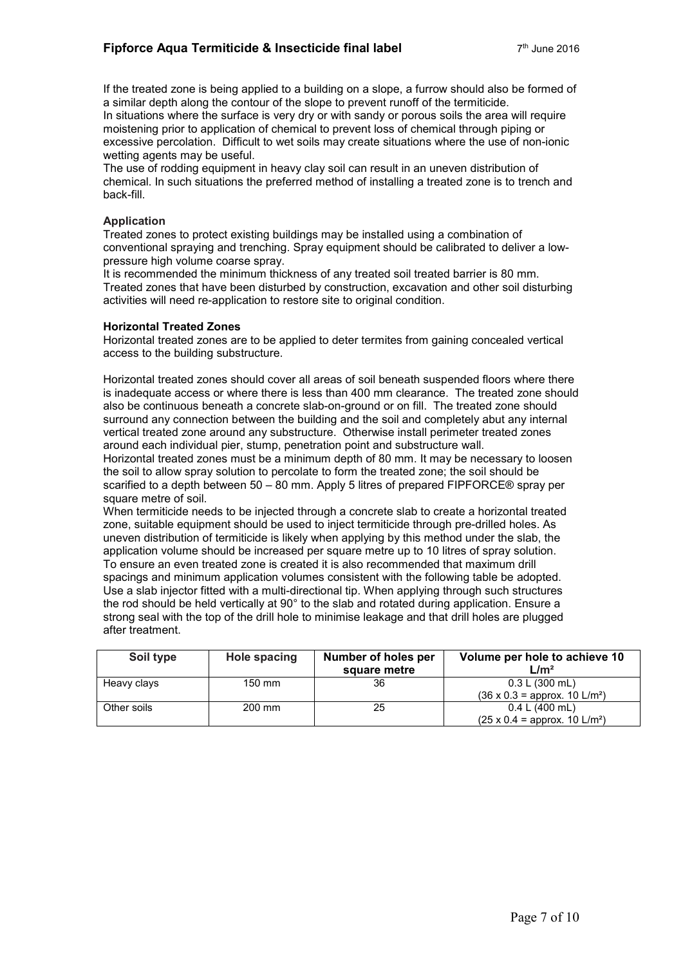If the treated zone is being applied to a building on a slope, a furrow should also be formed of a similar depth along the contour of the slope to prevent runoff of the termiticide.

In situations where the surface is very dry or with sandy or porous soils the area will require moistening prior to application of chemical to prevent loss of chemical through piping or excessive percolation. Difficult to wet soils may create situations where the use of non-ionic wetting agents may be useful.

The use of rodding equipment in heavy clay soil can result in an uneven distribution of chemical. In such situations the preferred method of installing a treated zone is to trench and back-fill.

#### **Application**

Treated zones to protect existing buildings may be installed using a combination of conventional spraying and trenching. Spray equipment should be calibrated to deliver a lowpressure high volume coarse spray.

It is recommended the minimum thickness of any treated soil treated barrier is 80 mm. Treated zones that have been disturbed by construction, excavation and other soil disturbing activities will need re-application to restore site to original condition.

#### **Horizontal Treated Zones**

Horizontal treated zones are to be applied to deter termites from gaining concealed vertical access to the building substructure.

Horizontal treated zones should cover all areas of soil beneath suspended floors where there is inadequate access or where there is less than 400 mm clearance. The treated zone should also be continuous beneath a concrete slab-on-ground or on fill. The treated zone should surround any connection between the building and the soil and completely abut any internal vertical treated zone around any substructure. Otherwise install perimeter treated zones around each individual pier, stump, penetration point and substructure wall.

Horizontal treated zones must be a minimum depth of 80 mm. It may be necessary to loosen the soil to allow spray solution to percolate to form the treated zone; the soil should be scarified to a depth between 50 – 80 mm. Apply 5 litres of prepared FIPFORCE® spray per square metre of soil.

When termiticide needs to be injected through a concrete slab to create a horizontal treated zone, suitable equipment should be used to inject termiticide through pre-drilled holes. As uneven distribution of termiticide is likely when applying by this method under the slab, the application volume should be increased per square metre up to 10 litres of spray solution. To ensure an even treated zone is created it is also recommended that maximum drill spacings and minimum application volumes consistent with the following table be adopted. Use a slab injector fitted with a multi-directional tip. When applying through such structures the rod should be held vertically at 90° to the slab and rotated during application. Ensure a strong seal with the top of the drill hole to minimise leakage and that drill holes are plugged after treatment.

| Soil type   | Hole spacing     | Number of holes per<br>square metre | Volume per hole to achieve 10<br>L/m <sup>2</sup>                  |
|-------------|------------------|-------------------------------------|--------------------------------------------------------------------|
| Heavy clays | $150 \text{ mm}$ | 36                                  | 0.3 L (300 mL)<br>$(36 \times 0.3 =$ approx. 10 L/m <sup>2</sup> ) |
| Other soils | 200 mm           | 25                                  | 0.4 L (400 mL)<br>$(25 \times 0.4 =$ approx. 10 L/m <sup>2</sup> ) |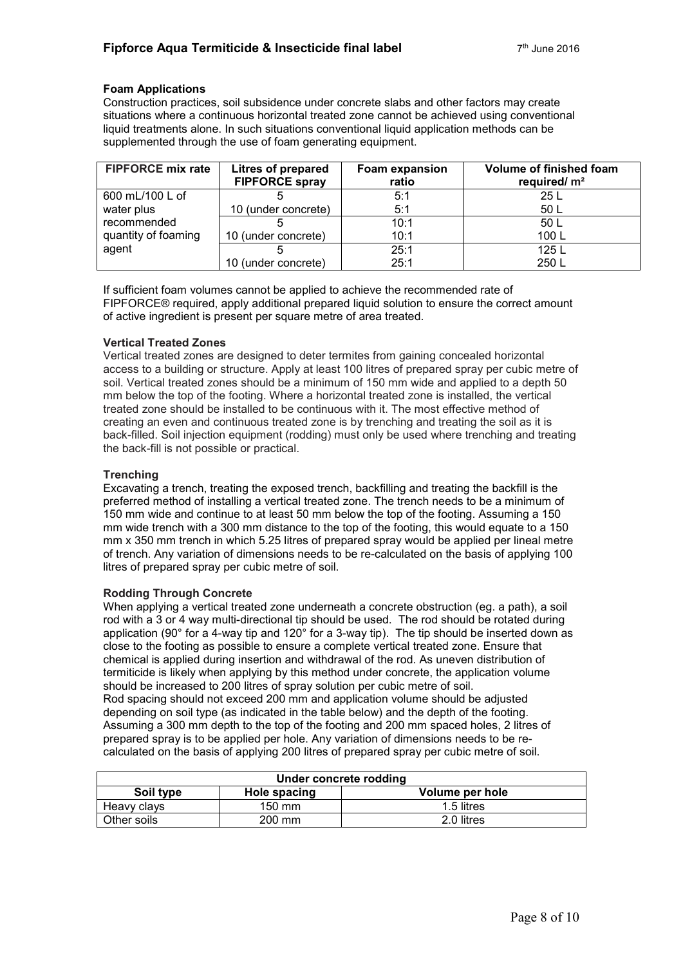#### **Foam Applications**

Construction practices, soil subsidence under concrete slabs and other factors may create situations where a continuous horizontal treated zone cannot be achieved using conventional liquid treatments alone. In such situations conventional liquid application methods can be supplemented through the use of foam generating equipment.

| <b>FIPFORCE mix rate</b> | Litres of prepared<br><b>FIPFORCE spray</b> | <b>Foam expansion</b><br>ratio | Volume of finished foam<br>required/ $m2$ |
|--------------------------|---------------------------------------------|--------------------------------|-------------------------------------------|
| 600 mL/100 L of          |                                             | 5:1                            | 25 L                                      |
| water plus               | 10 (under concrete)                         | 5:1                            | 50 L                                      |
| recommended              |                                             | 10:1                           | 50 L                                      |
| quantity of foaming      | 10 (under concrete)                         | 10:1                           | 100L                                      |
| agent                    |                                             | 25:1                           | 125 L                                     |
|                          | 10 (under concrete)                         | 25:1                           | 250 L                                     |

If sufficient foam volumes cannot be applied to achieve the recommended rate of FIPFORCE® required, apply additional prepared liquid solution to ensure the correct amount of active ingredient is present per square metre of area treated.

#### **Vertical Treated Zones**

Vertical treated zones are designed to deter termites from gaining concealed horizontal access to a building or structure. Apply at least 100 litres of prepared spray per cubic metre of soil. Vertical treated zones should be a minimum of 150 mm wide and applied to a depth 50 mm below the top of the footing. Where a horizontal treated zone is installed, the vertical treated zone should be installed to be continuous with it. The most effective method of creating an even and continuous treated zone is by trenching and treating the soil as it is back-filled. Soil injection equipment (rodding) must only be used where trenching and treating the back-fill is not possible or practical.

#### **Trenching**

Excavating a trench, treating the exposed trench, backfilling and treating the backfill is the preferred method of installing a vertical treated zone. The trench needs to be a minimum of 150 mm wide and continue to at least 50 mm below the top of the footing. Assuming a 150 mm wide trench with a 300 mm distance to the top of the footing, this would equate to a 150 mm x 350 mm trench in which 5.25 litres of prepared spray would be applied per lineal metre of trench. Any variation of dimensions needs to be re-calculated on the basis of applying 100 litres of prepared spray per cubic metre of soil.

#### **Rodding Through Concrete**

When applying a vertical treated zone underneath a concrete obstruction (eg. a path), a soil rod with a 3 or 4 way multi-directional tip should be used. The rod should be rotated during application (90° for a 4-way tip and 120° for a 3-way tip). The tip should be inserted down as close to the footing as possible to ensure a complete vertical treated zone. Ensure that chemical is applied during insertion and withdrawal of the rod. As uneven distribution of termiticide is likely when applying by this method under concrete, the application volume should be increased to 200 litres of spray solution per cubic metre of soil. Rod spacing should not exceed 200 mm and application volume should be adjusted depending on soil type (as indicated in the table below) and the depth of the footing. Assuming a 300 mm depth to the top of the footing and 200 mm spaced holes, 2 litres of prepared spray is to be applied per hole. Any variation of dimensions needs to be recalculated on the basis of applying 200 litres of prepared spray per cubic metre of soil.

| Under concrete rodding                       |                  |            |  |
|----------------------------------------------|------------------|------------|--|
| Soil type<br>Volume per hole<br>Hole spacing |                  |            |  |
| Heavy clays                                  | $150 \text{ mm}$ | 1.5 litres |  |
| Other soils                                  | 200 mm           | 2.0 litres |  |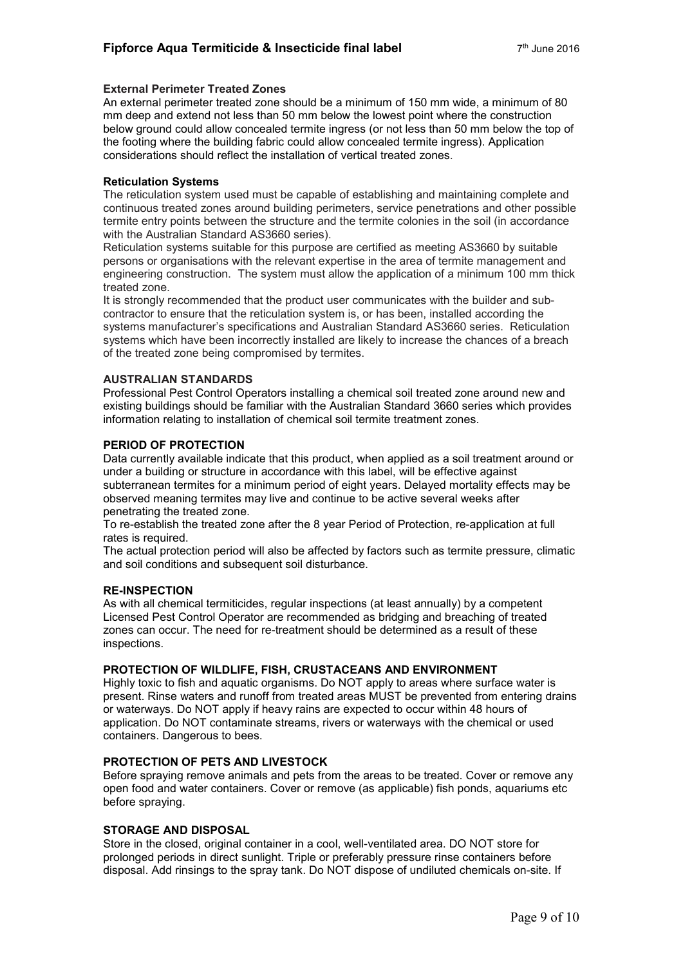#### **External Perimeter Treated Zones**

An external perimeter treated zone should be a minimum of 150 mm wide, a minimum of 80 mm deep and extend not less than 50 mm below the lowest point where the construction below ground could allow concealed termite ingress (or not less than 50 mm below the top of the footing where the building fabric could allow concealed termite ingress). Application considerations should reflect the installation of vertical treated zones.

#### **Reticulation Systems**

The reticulation system used must be capable of establishing and maintaining complete and continuous treated zones around building perimeters, service penetrations and other possible termite entry points between the structure and the termite colonies in the soil (in accordance with the Australian Standard AS3660 series).

Reticulation systems suitable for this purpose are certified as meeting AS3660 by suitable persons or organisations with the relevant expertise in the area of termite management and engineering construction. The system must allow the application of a minimum 100 mm thick treated zone.

It is strongly recommended that the product user communicates with the builder and subcontractor to ensure that the reticulation system is, or has been, installed according the systems manufacturer's specifications and Australian Standard AS3660 series. Reticulation systems which have been incorrectly installed are likely to increase the chances of a breach of the treated zone being compromised by termites.

#### **AUSTRALIAN STANDARDS**

Professional Pest Control Operators installing a chemical soil treated zone around new and existing buildings should be familiar with the Australian Standard 3660 series which provides information relating to installation of chemical soil termite treatment zones.

#### **PERIOD OF PROTECTION**

Data currently available indicate that this product, when applied as a soil treatment around or under a building or structure in accordance with this label, will be effective against subterranean termites for a minimum period of eight years. Delayed mortality effects may be observed meaning termites may live and continue to be active several weeks after penetrating the treated zone.

To re-establish the treated zone after the 8 year Period of Protection, re-application at full rates is required.

The actual protection period will also be affected by factors such as termite pressure, climatic and soil conditions and subsequent soil disturbance.

#### **RE-INSPECTION**

As with all chemical termiticides, regular inspections (at least annually) by a competent Licensed Pest Control Operator are recommended as bridging and breaching of treated zones can occur. The need for re-treatment should be determined as a result of these inspections.

#### **PROTECTION OF WILDLIFE, FISH, CRUSTACEANS AND ENVIRONMENT**

Highly toxic to fish and aquatic organisms. Do NOT apply to areas where surface water is present. Rinse waters and runoff from treated areas MUST be prevented from entering drains or waterways. Do NOT apply if heavy rains are expected to occur within 48 hours of application. Do NOT contaminate streams, rivers or waterways with the chemical or used containers. Dangerous to bees.

#### **PROTECTION OF PETS AND LIVESTOCK**

Before spraying remove animals and pets from the areas to be treated. Cover or remove any open food and water containers. Cover or remove (as applicable) fish ponds, aquariums etc before spraying.

#### **STORAGE AND DISPOSAL**

Store in the closed, original container in a cool, well-ventilated area. DO NOT store for prolonged periods in direct sunlight. Triple or preferably pressure rinse containers before disposal. Add rinsings to the spray tank. Do NOT dispose of undiluted chemicals on-site. If